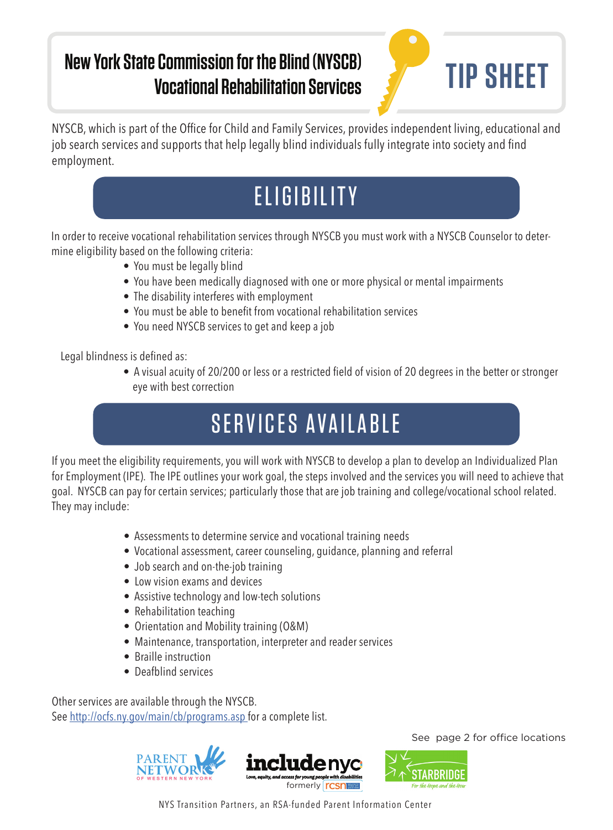### **New York State Commission for the Blind (NYSCB) Vocational Rehabilitation Services TIP SHEET**



NYSCB, which is part of the Office for Child and Family Services, provides independent living, educational and job search services and supports that help legally blind individuals fully integrate into society and find employment.

# **ELIGIBILITY**

In order to receive vocational rehabilitation services through NYSCB you must work with a NYSCB Counselor to determine eligibility based on the following criteria:

- You must be legally blind
- You have been medically diagnosed with one or more physical or mental impairments
- The disability interferes with employment
- You must be able to benefit from vocational rehabilitation services
- You need NYSCB services to get and keep a job

Legal blindness is defined as:

• A visual acuity of 20/200 or less or a restricted field of vision of 20 degrees in the better or stronger eye with best correction

# SERVICES AVAILABLE

If you meet the eligibility requirements, you will work with NYSCB to develop a plan to develop an Individualized Plan for Employment (IPE). The IPE outlines your work goal, the steps involved and the services you will need to achieve that goal. NYSCB can pay for certain services; particularly those that are job training and college/vocational school related. They may include:

- Assessments to determine service and vocational training needs
- Vocational assessment, career counseling, guidance, planning and referral
- Job search and on-the-job training
- Low vision exams and devices
- Assistive technology and low-tech solutions
- Rehabilitation teaching
- Orientation and Mobility training (O&M)
- Maintenance, transportation, interpreter and reader services
- Braille instruction
- Deafblind services

Other services are available through the NYSCB. See http://ocfs.ny.gov/main/cb/programs.asp for a complete list.



See page 2 for office locations



NYS Transition Partners, an RSA-funded Parent Information Center